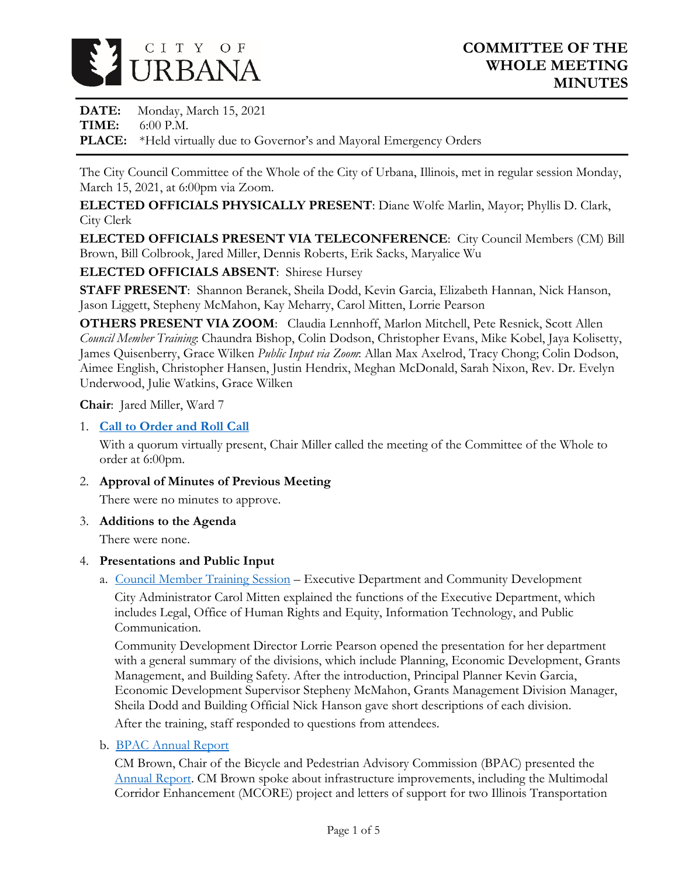

**DATE:** Monday, March 15, 2021 **TIME:** 6:00 P.M. **PLACE:** \*Held virtually due to Governor's and Mayoral Emergency Orders

The City Council Committee of the Whole of the City of Urbana, Illinois, met in regular session Monday, March 15, 2021, at 6:00pm via Zoom.

**ELECTED OFFICIALS PHYSICALLY PRESENT**: Diane Wolfe Marlin, Mayor; Phyllis D. Clark, City Clerk

**ELECTED OFFICIALS PRESENT VIA TELECONFERENCE**: City Council Members (CM) Bill Brown, Bill Colbrook, Jared Miller, Dennis Roberts, Erik Sacks, Maryalice Wu

**ELECTED OFFICIALS ABSENT**: Shirese Hursey

**STAFF PRESENT**: Shannon Beranek, Sheila Dodd, Kevin Garcia, Elizabeth Hannan, Nick Hanson, Jason Liggett, Stepheny McMahon, Kay Meharry, Carol Mitten, Lorrie Pearson

**OTHERS PRESENT VIA ZOOM**: Claudia Lennhoff, Marlon Mitchell, Pete Resnick, Scott Allen *Council Member Training*: Chaundra Bishop, Colin Dodson, Christopher Evans, Mike Kobel, Jaya Kolisetty, James Quisenberry, Grace Wilken *Public Input via Zoom*: Allan Max Axelrod, Tracy Chong; Colin Dodson, Aimee English, Christopher Hansen, Justin Hendrix, Meghan McDonald, Sarah Nixon, Rev. Dr. Evelyn Underwood, Julie Watkins, Grace Wilken

**Chair**: Jared Miller, Ward 7

### 1. **[Call to Order and Roll Call](https://www.city.urbana.il.us/Scripts/CouncilVideo/Video.asp?v=/_Video/City_Council/2021/20210315/01._Start_of_Meeting.mp4)**

With a quorum virtually present, Chair Miller called the meeting of the Committee of the Whole to order at 6:00pm.

2. **Approval of Minutes of Previous Meeting**

There were no minutes to approve.

3. **Additions to the Agenda**

There were none.

#### 4. **Presentations and Public Input**

a. [Council Member Training Session](https://www.city.urbana.il.us/Scripts/CouncilVideo/Video.asp?v=/_Video/City_Council/2021/20210315/02._Council_Member_Training_Session.mp4) – Executive Department and Community Development

City Administrator Carol Mitten explained the functions of the Executive Department, which includes Legal, Office of Human Rights and Equity, Information Technology, and Public Communication.

Community Development Director Lorrie Pearson opened the presentation for her department with a general summary of the divisions, which include Planning, Economic Development, Grants Management, and Building Safety. After the introduction, Principal Planner Kevin Garcia, Economic Development Supervisor Stepheny McMahon, Grants Management Division Manager, Sheila Dodd and Building Official Nick Hanson gave short descriptions of each division.

After the training, staff responded to questions from attendees.

b. [BPAC Annual Report](https://www.city.urbana.il.us/Scripts/CouncilVideo/Video.asp?v=/_Video/City_Council/2021/20210315/03._BPAC_Annual_Report.mp4)

CM Brown, Chair of the Bicycle and Pedestrian Advisory Commission (BPAC) presented the [Annual Report.](https://www.urbanaillinois.us/sites/default/files/attachments/BPAC_Annual_Report_2020_0.pdf) CM Brown spoke about infrastructure improvements, including the Multimodal Corridor Enhancement (MCORE) project and letters of support for two Illinois Transportation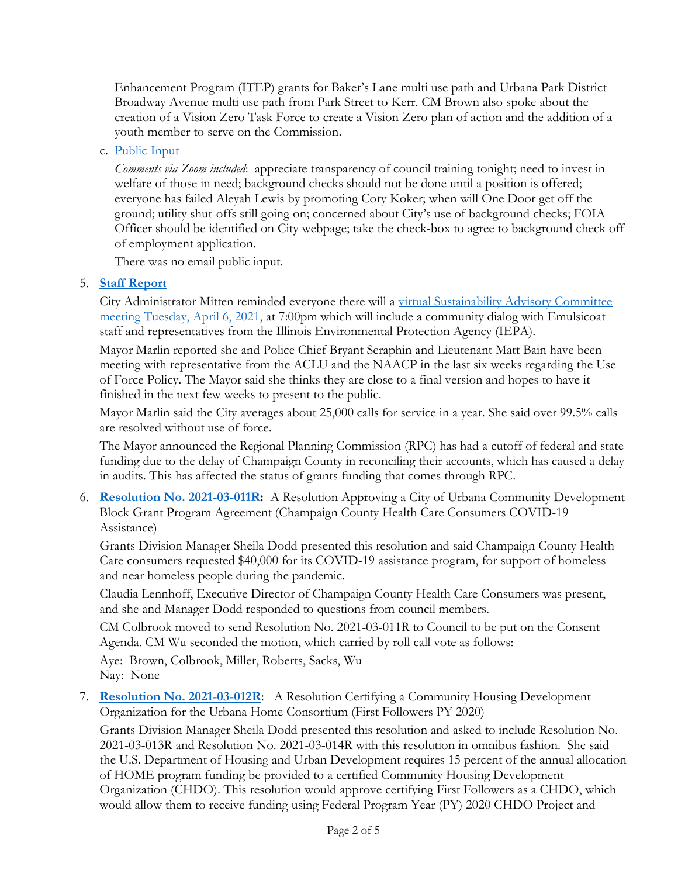Enhancement Program (ITEP) grants for Baker's Lane multi use path and Urbana Park District Broadway Avenue multi use path from Park Street to Kerr. CM Brown also spoke about the creation of a Vision Zero Task Force to create a Vision Zero plan of action and the addition of a youth member to serve on the Commission.

### c. [Public Input](https://www.city.urbana.il.us/Scripts/CouncilVideo/Video.asp?v=/_Video/City_Council/2021/20210315/04._Public_Input.mp4)

*Comments via Zoom included*: appreciate transparency of council training tonight; need to invest in welfare of those in need; background checks should not be done until a position is offered; everyone has failed Aleyah Lewis by promoting Cory Koker; when will One Door get off the ground; utility shut-offs still going on; concerned about City's use of background checks; FOIA Officer should be identified on City webpage; take the check-box to agree to background check off of employment application.

There was no email public input.

### 5. **[Staff Report](https://www.city.urbana.il.us/Scripts/CouncilVideo/Video.asp?v=/_Video/City_Council/2021/20210315/05._Staff_Report.mp4)**

City Administrator Mitten reminded everyone there will a [virtual Sustainability Advisory Committee](https://www.urbanaillinois.us/node/8956) [meeting Tuesday, April 6, 2021,](https://www.urbanaillinois.us/node/8956) at 7:00pm which will include a community dialog with Emulsicoat staff and representatives from the Illinois Environmental Protection Agency (IEPA).

Mayor Marlin reported she and Police Chief Bryant Seraphin and Lieutenant Matt Bain have been meeting with representative from the ACLU and the NAACP in the last six weeks regarding the Use of Force Policy. The Mayor said she thinks they are close to a final version and hopes to have it finished in the next few weeks to present to the public.

Mayor Marlin said the City averages about 25,000 calls for service in a year. She said over 99.5% calls are resolved without use of force.

The Mayor announced the Regional Planning Commission (RPC) has had a cutoff of federal and state funding due to the delay of Champaign County in reconciling their accounts, which has caused a delay in audits. This has affected the status of grants funding that comes through RPC.

6. **[Resolution No. 2021-03-011R:](https://www.city.urbana.il.us/Scripts/CouncilVideo/Video.asp?v=/_Video/City_Council/2021/20210315/06._Resolution_2021-03-011R.mp4)** A Resolution Approving a City of Urbana Community Development Block Grant Program Agreement (Champaign County Health Care Consumers COVID-19 Assistance)

Grants Division Manager Sheila Dodd presented this resolution and said Champaign County Health Care consumers requested \$40,000 for its COVID-19 assistance program, for support of homeless and near homeless people during the pandemic.

Claudia Lennhoff, Executive Director of Champaign County Health Care Consumers was present, and she and Manager Dodd responded to questions from council members.

CM Colbrook moved to send Resolution No. 2021-03-011R to Council to be put on the Consent Agenda. CM Wu seconded the motion, which carried by roll call vote as follows:

Aye: Brown, Colbrook, Miller, Roberts, Sacks, Wu Nay: None

7. **[Resolution No. 2021-03-012R](https://www.city.urbana.il.us/Scripts/CouncilVideo/Video.asp?v=/_Video/City_Council/2021/20210315/07._Resolutions_2021-03-012R_2021-03-013R_2021-03-014R.mp4)**: A Resolution Certifying a Community Housing Development Organization for the Urbana Home Consortium (First Followers PY 2020)

Grants Division Manager Sheila Dodd presented this resolution and asked to include Resolution No. 2021-03-013R and Resolution No. 2021-03-014R with this resolution in omnibus fashion. She said the U.S. Department of Housing and Urban Development requires 15 percent of the annual allocation of HOME program funding be provided to a certified Community Housing Development Organization (CHDO). This resolution would approve certifying First Followers as a CHDO, which would allow them to receive funding using Federal Program Year (PY) 2020 CHDO Project and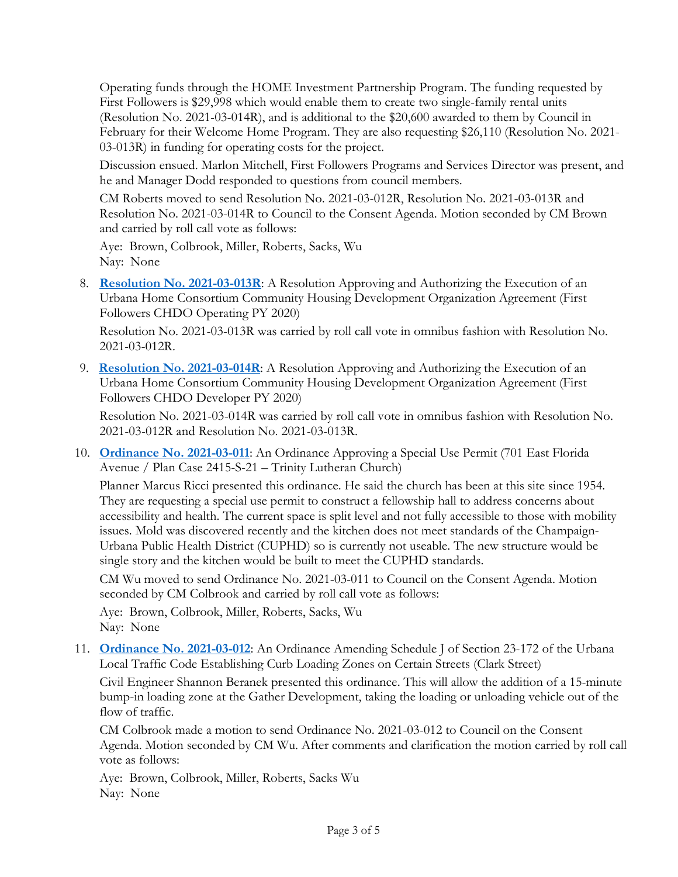Operating funds through the HOME Investment Partnership Program. The funding requested by First Followers is \$29,998 which would enable them to create two single-family rental units (Resolution No. 2021-03-014R), and is additional to the \$20,600 awarded to them by Council in February for their Welcome Home Program. They are also requesting \$26,110 (Resolution No. 2021- 03-013R) in funding for operating costs for the project.

Discussion ensued. Marlon Mitchell, First Followers Programs and Services Director was present, and he and Manager Dodd responded to questions from council members.

CM Roberts moved to send Resolution No. 2021-03-012R, Resolution No. 2021-03-013R and Resolution No. 2021-03-014R to Council to the Consent Agenda. Motion seconded by CM Brown and carried by roll call vote as follows:

Aye: Brown, Colbrook, Miller, Roberts, Sacks, Wu Nay: None

8. **[Resolution No. 2021-03-013R](https://www.city.urbana.il.us/Scripts/CouncilVideo/Video.asp?v=/_Video/City_Council/2021/20210315/07._Resolutions_2021-03-012R_2021-03-013R_2021-03-014R.mp4)**: A Resolution Approving and Authorizing the Execution of an Urbana Home Consortium Community Housing Development Organization Agreement (First Followers CHDO Operating PY 2020)

Resolution No. 2021-03-013R was carried by roll call vote in omnibus fashion with Resolution No. 2021-03-012R.

9. **[Resolution No. 2021-03-014R](https://www.city.urbana.il.us/Scripts/CouncilVideo/Video.asp?v=/_Video/City_Council/2021/20210315/07._Resolutions_2021-03-012R_2021-03-013R_2021-03-014R.mp4)**: A Resolution Approving and Authorizing the Execution of an Urbana Home Consortium Community Housing Development Organization Agreement (First Followers CHDO Developer PY 2020)

Resolution No. 2021-03-014R was carried by roll call vote in omnibus fashion with Resolution No. 2021-03-012R and Resolution No. 2021-03-013R.

10. **[Ordinance No. 2021-03-011](https://www.city.urbana.il.us/Scripts/CouncilVideo/Video.asp?v=/_Video/City_Council/2021/20210315/08._Ordinance_2021-03-011.mp4)**: An Ordinance Approving a Special Use Permit (701 East Florida Avenue / Plan Case 2415-S-21 – Trinity Lutheran Church)

Planner Marcus Ricci presented this ordinance. He said the church has been at this site since 1954. They are requesting a special use permit to construct a fellowship hall to address concerns about accessibility and health. The current space is split level and not fully accessible to those with mobility issues. Mold was discovered recently and the kitchen does not meet standards of the Champaign-Urbana Public Health District (CUPHD) so is currently not useable. The new structure would be single story and the kitchen would be built to meet the CUPHD standards.

CM Wu moved to send Ordinance No. 2021-03-011 to Council on the Consent Agenda. Motion seconded by CM Colbrook and carried by roll call vote as follows:

Aye: Brown, Colbrook, Miller, Roberts, Sacks, Wu Nay: None

11. **[Ordinance No. 2021-03-012](https://www.city.urbana.il.us/Scripts/CouncilVideo/Video.asp?v=/_Video/City_Council/2021/20210315/09._Ordinance_2021-03-012.mp4)**: An Ordinance Amending Schedule J of Section 23-172 of the Urbana Local Traffic Code Establishing Curb Loading Zones on Certain Streets (Clark Street)

Civil Engineer Shannon Beranek presented this ordinance. This will allow the addition of a 15-minute bump-in loading zone at the Gather Development, taking the loading or unloading vehicle out of the flow of traffic.

CM Colbrook made a motion to send Ordinance No. 2021-03-012 to Council on the Consent Agenda. Motion seconded by CM Wu. After comments and clarification the motion carried by roll call vote as follows:

Aye: Brown, Colbrook, Miller, Roberts, Sacks Wu Nay: None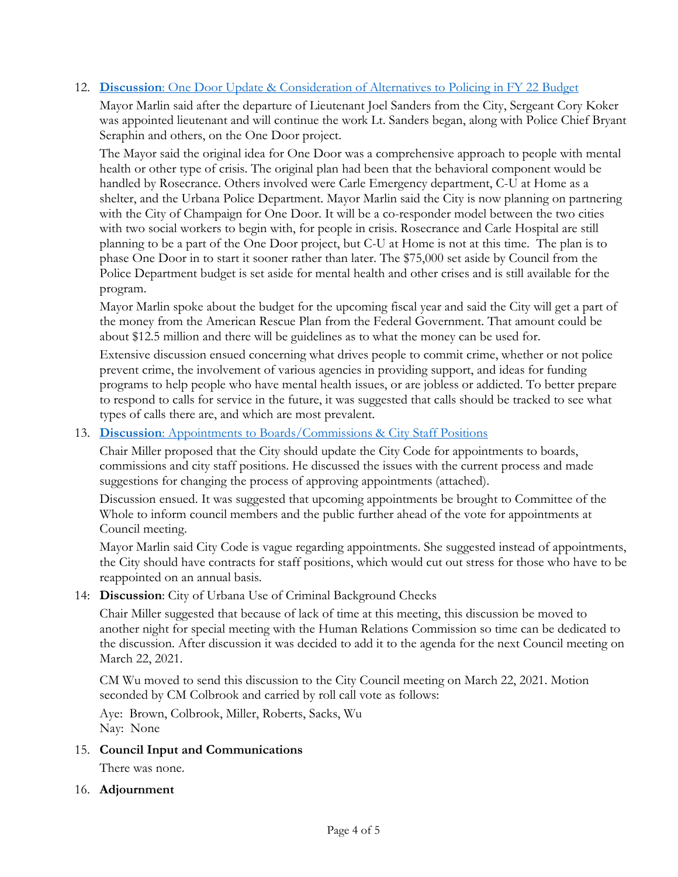#### 12. **Discussion**[: One Door Update & Consideration of Alternatives to Policing in FY 22 Budget](https://www.city.urbana.il.us/Scripts/CouncilVideo/Video.asp?v=/_Video/City_Council/2021/20210315/10._One_Door_Update_and_Consideration_of_Alternatives_to_Policing.mp4)

Mayor Marlin said after the departure of Lieutenant Joel Sanders from the City, Sergeant Cory Koker was appointed lieutenant and will continue the work Lt. Sanders began, along with Police Chief Bryant Seraphin and others, on the One Door project.

The Mayor said the original idea for One Door was a comprehensive approach to people with mental health or other type of crisis. The original plan had been that the behavioral component would be handled by Rosecrance. Others involved were Carle Emergency department, C-U at Home as a shelter, and the Urbana Police Department. Mayor Marlin said the City is now planning on partnering with the City of Champaign for One Door. It will be a co-responder model between the two cities with two social workers to begin with, for people in crisis. Rosecrance and Carle Hospital are still planning to be a part of the One Door project, but C-U at Home is not at this time. The plan is to phase One Door in to start it sooner rather than later. The \$75,000 set aside by Council from the Police Department budget is set aside for mental health and other crises and is still available for the program.

Mayor Marlin spoke about the budget for the upcoming fiscal year and said the City will get a part of the money from the American Rescue Plan from the Federal Government. That amount could be about \$12.5 million and there will be guidelines as to what the money can be used for.

Extensive discussion ensued concerning what drives people to commit crime, whether or not police prevent crime, the involvement of various agencies in providing support, and ideas for funding programs to help people who have mental health issues, or are jobless or addicted. To better prepare to respond to calls for service in the future, it was suggested that calls should be tracked to see what types of calls there are, and which are most prevalent.

#### 13. **Discussion**[: Appointments to Boards/Commissions & City Staff Positions](https://www.city.urbana.il.us/Scripts/CouncilVideo/Video.asp?v=/_Video/City_Council/2021/20210315/11._Appointments_to_Boards_and_City_Staff_Positions.mp4)

Chair Miller proposed that the City should update the City Code for appointments to boards, commissions and city staff positions. He discussed the issues with the current process and made suggestions for changing the process of approving appointments (attached).

Discussion ensued. It was suggested that upcoming appointments be brought to Committee of the Whole to inform council members and the public further ahead of the vote for appointments at Council meeting.

Mayor Marlin said City Code is vague regarding appointments. She suggested instead of appointments, the City should have contracts for staff positions, which would cut out stress for those who have to be reappointed on an annual basis.

#### 14: **Discussion**: City of Urbana Use of Criminal Background Checks

Chair Miller suggested that because of lack of time at this meeting, this discussion be moved to another night for special meeting with the Human Relations Commission so time can be dedicated to the discussion. After discussion it was decided to add it to the agenda for the next Council meeting on March 22, 2021.

CM Wu moved to send this discussion to the City Council meeting on March 22, 2021. Motion seconded by CM Colbrook and carried by roll call vote as follows:

Aye: Brown, Colbrook, Miller, Roberts, Sacks, Wu Nay: None

#### 15. **Council Input and Communications**

There was none.

#### 16. **Adjournment**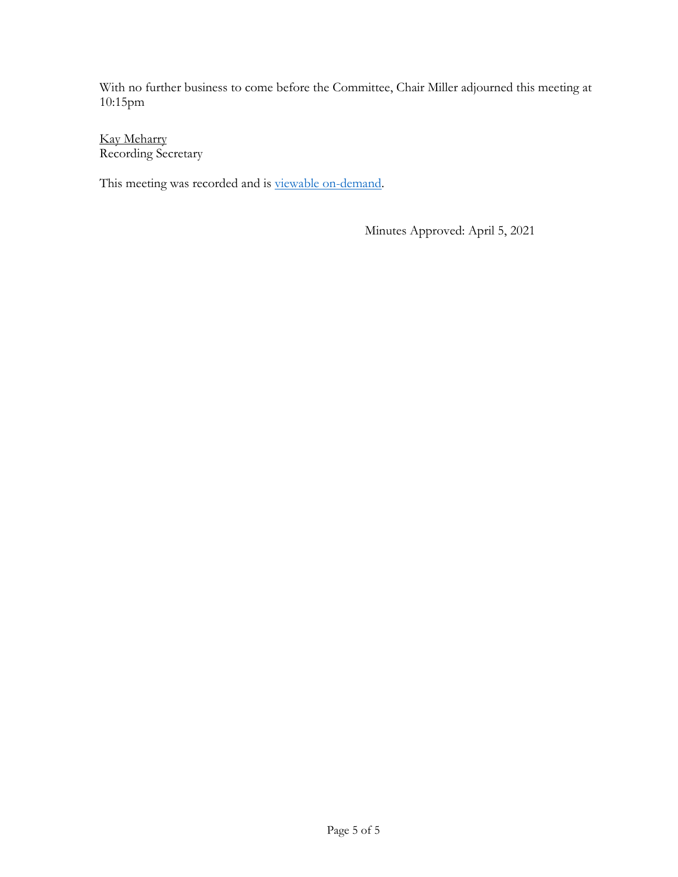With no further business to come before the Committee, Chair Miller adjourned this meeting at 10:15pm

Kay Meharry Recording Secretary

This meeting was recorded and is [viewable on-demand.](http://www.urbanaillinois.us/node/9161)

Minutes Approved: April 5, 2021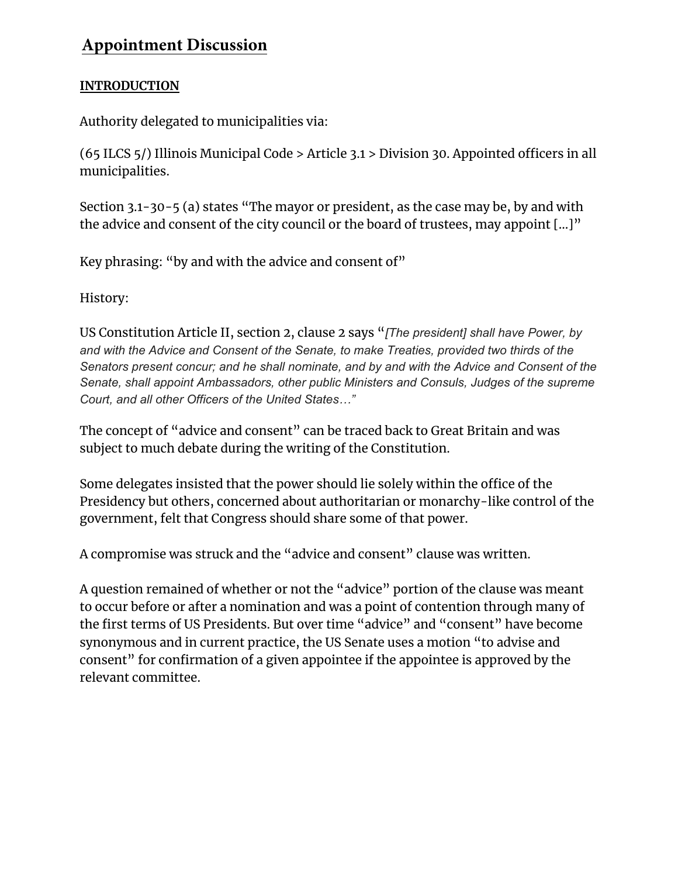# **Appointment Discussion**

# **INTRODUCTION**

Authority delegated to municipalities via:

(65 ILCS 5/) Illinois Municipal Code > Article 3.1 > Division 30. Appointed officers in all municipalities.

Section 3.1-30-5 (a) states "The mayor or president, as the case may be, by and with the advice and consent of the city council or the board of trustees, may appoint [...]"

Key phrasing: "by and with the advice and consent of"

History:

US Constitution Article II, section 2, clause 2 says "*[The president] shall have Power, by and with the Advice and Consent of the Senate, to make Treaties, provided two thirds of the Senators present concur; and he shall nominate, and by and with the Advice and Consent of the Senate, shall appoint Ambassadors, other public Ministers and Consuls, Judges of the supreme Court, and all other Officers of the United States…"*

The concept of "advice and consent" can be traced back to Great Britain and was subject to much debate during the writing of the Constitution.

Some delegates insisted that the power should lie solely within the office of the Presidency but others, concerned about authoritarian or monarchy-like control of the government, felt that Congress should share some of that power.

A compromise was struck and the "advice and consent" clause was written.

A question remained of whether or not the "advice" portion of the clause was meant to occur before or after a nomination and was a point of contention through many of the first terms of US Presidents. But over time "advice" and "consent" have become synonymous and in current practice, the US Senate uses a motion "to advise and consent" for confirmation of a given appointee if the appointee is approved by the relevant committee.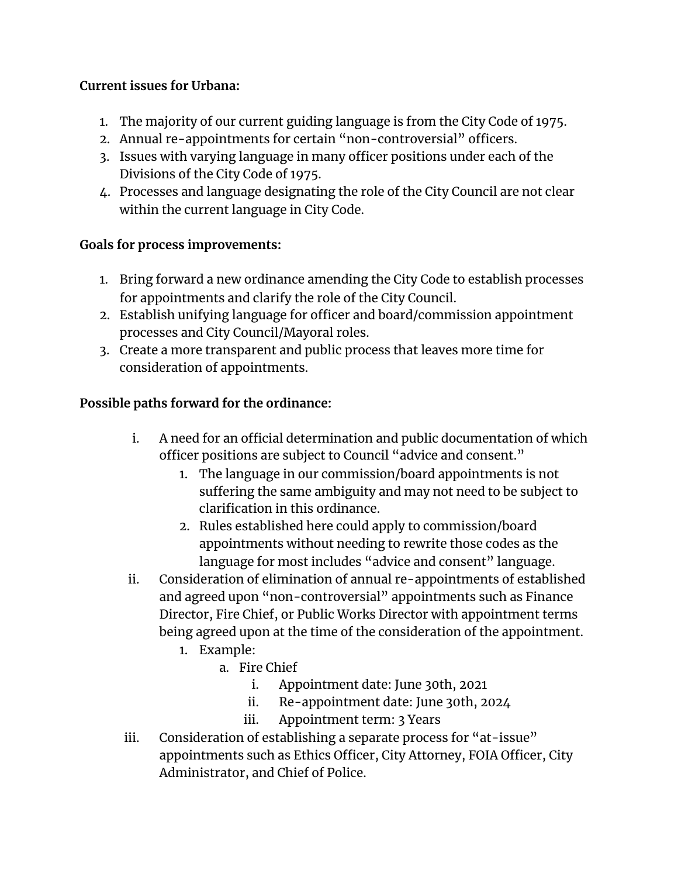# **Current issues for Urbana:**

- 1. The majority of our current guiding language is from the City Code of 1975.
- 2. Annual re-appointments for certain "non-controversial" officers.
- 3. Issues with varying language in many officer positions under each of the Divisions of the City Code of 1975.
- 4. Processes and language designating the role of the City Council are not clear within the current language in City Code.

# **Goals for process improvements:**

- 1. Bring forward a new ordinance amending the City Code to establish processes for appointments and clarify the role of the City Council.
- 2. Establish unifying language for officer and board/commission appointment processes and City Council/Mayoral roles.
- 3. Create a more transparent and public process that leaves more time for consideration of appointments.

# **Possible paths forward for the ordinance:**

- i. A need for an official determination and public documentation of which officer positions are subject to Council "advice and consent."
	- 1. The language in our commission/board appointments is not suffering the same ambiguity and may not need to be subject to clarification in this ordinance.
	- 2. Rules established here could apply to commission/board appointments without needing to rewrite those codes as the language for most includes "advice and consent" language.
- ii. Consideration of elimination of annual re-appointments of established and agreed upon "non-controversial" appointments such as Finance Director, Fire Chief, or Public Works Director with appointment terms being agreed upon at the time of the consideration of the appointment.
	- 1. Example:
		- a. Fire Chief
			- i. Appointment date: June 30th, 2021
			- ii. Re-appointment date: June 30th, 2024
			- iii. Appointment term: 3 Years
- iii. Consideration of establishing a separate process for "at-issue" appointments such as Ethics Officer, City Attorney, FOIA Officer, City Administrator, and Chief of Police.